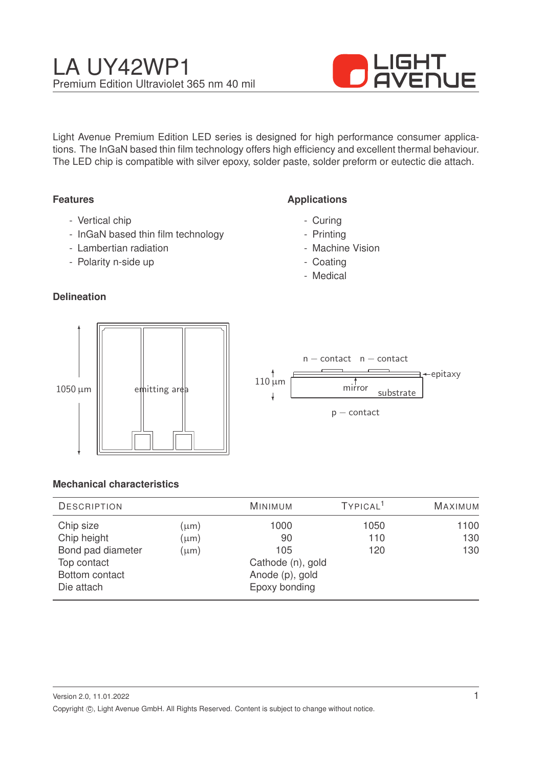

Light Avenue Premium Edition LED series is designed for high performance consumer applications. The InGaN based thin film technology offers high efficiency and excellent thermal behaviour. The LED chip is compatible with silver epoxy, solder paste, solder preform or eutectic die attach.

## **Features**

- Vertical chip
- InGaN based thin film technology
- Lambertian radiation
- Polarity n-side up

## **Delineation**

## **Applications**

- Curing
- Printing
- Machine Vision
- Coating
- Medical



|             | $n$ – contact $n$ – contact<br>,←epitaxy |
|-------------|------------------------------------------|
| $110 \mu m$ | mirror<br>substrate                      |
|             | $p$ – contact                            |

### **Mechanical characteristics**

| <b>DESCRIPTION</b>                |                   | <b>MINIMUM</b> | TYPICAL <sup>1</sup> | <b>MAXIMUM</b> |
|-----------------------------------|-------------------|----------------|----------------------|----------------|
| Chip size                         | $(\mu m)$         | 1000           | 1050                 | 1100           |
| Chip height                       | $(\mu m)$         | 90             | 110                  | 130            |
| Bond pad diameter                 | $(\mu m)$         | 105            | 120                  | 130            |
| Top contact                       | Cathode (n), gold |                |                      |                |
| Bottom contact<br>Anode (p), gold |                   |                |                      |                |
| Die attach                        |                   | Epoxy bonding  |                      |                |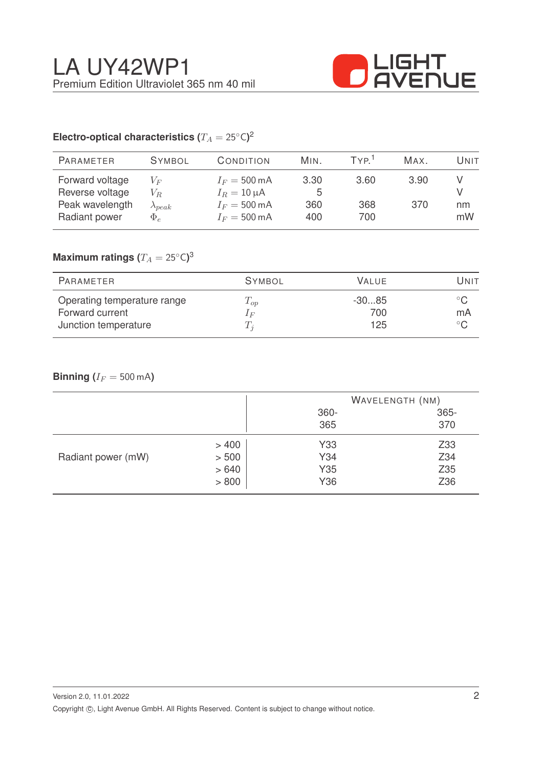

# Electro-optical characteristics ( $T_A = 25^{\circ} \text{C}$ )<sup>2</sup>

| <b>PARAMETER</b>                                                       | <b>SYMBOL</b>                                  | CONDITION                                                                                      | MIN.                    | TYP <sup>1</sup>   | MAX.        | Unit     |
|------------------------------------------------------------------------|------------------------------------------------|------------------------------------------------------------------------------------------------|-------------------------|--------------------|-------------|----------|
| Forward voltage<br>Reverse voltage<br>Peak wavelength<br>Radiant power | $V_F$<br>$V_R$<br>$\lambda_{peak}$<br>$\Phi_e$ | $I_F = 500 \text{ mA}$<br>$I_R = 10 \mu A$<br>$I_F = 500 \text{ mA}$<br>$I_F = 500 \text{ mA}$ | 3.30<br>5<br>360<br>400 | 3.60<br>368<br>700 | 3.90<br>370 | nm<br>mW |
|                                                                        |                                                |                                                                                                |                         |                    |             |          |

## $\mathsf{Maximum}$  ratings  $(T_A = 25^{\circ} \mathsf{C})^3$

| PARAMETER                                                              | <b>SYMBOL</b>                | <b>VALUE</b>          | Unit               |
|------------------------------------------------------------------------|------------------------------|-----------------------|--------------------|
| Operating temperature range<br>Forward current<br>Junction temperature | $T_{op}$<br>1 F<br>$\perp_i$ | $-3085$<br>700<br>125 | $^{\circ}$ C<br>mA |

## **Binning**  $(I_F = 500 \text{ mA})$

|                    |       | WAVELENGTH (NM) |         |
|--------------------|-------|-----------------|---------|
|                    |       | 360-            | $365 -$ |
|                    |       | 365             | 370     |
|                    | >400  | Y33             | Z33     |
| Radiant power (mW) | > 500 | Y34             | Z34     |
|                    | >640  | Y35             | Z35     |
|                    | > 800 | Y36             | Z36     |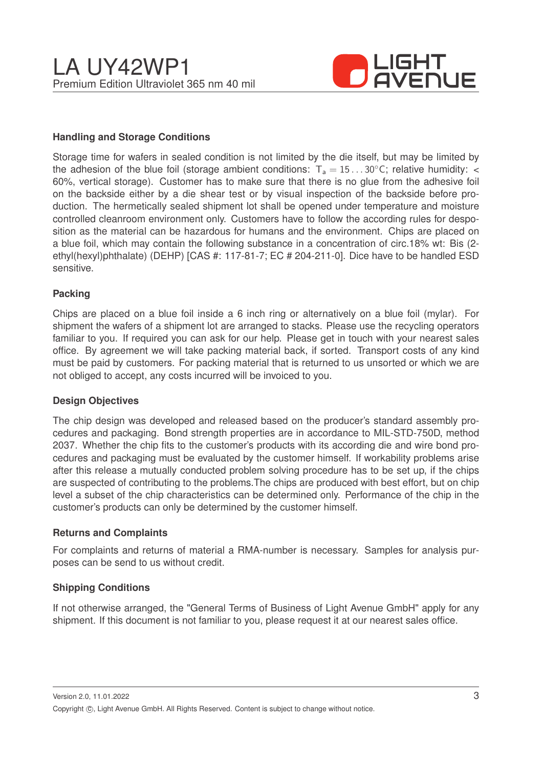

## **Handling and Storage Conditions**

Storage time for wafers in sealed condition is not limited by the die itself, but may be limited by the adhesion of the blue foil (storage ambient conditions:  $T_a = 15...30^{\circ}$ C; relative humidity: < 60%, vertical storage). Customer has to make sure that there is no glue from the adhesive foil on the backside either by a die shear test or by visual inspection of the backside before production. The hermetically sealed shipment lot shall be opened under temperature and moisture controlled cleanroom environment only. Customers have to follow the according rules for desposition as the material can be hazardous for humans and the environment. Chips are placed on a blue foil, which may contain the following substance in a concentration of circ.18% wt: Bis (2 ethyl(hexyl)phthalate) (DEHP) [CAS #: 117-81-7; EC # 204-211-0]. Dice have to be handled ESD sensitive.

### **Packing**

Chips are placed on a blue foil inside a 6 inch ring or alternatively on a blue foil (mylar). For shipment the wafers of a shipment lot are arranged to stacks. Please use the recycling operators familiar to you. If required you can ask for our help. Please get in touch with your nearest sales office. By agreement we will take packing material back, if sorted. Transport costs of any kind must be paid by customers. For packing material that is returned to us unsorted or which we are not obliged to accept, any costs incurred will be invoiced to you.

### **Design Objectives**

The chip design was developed and released based on the producer's standard assembly procedures and packaging. Bond strength properties are in accordance to MIL-STD-750D, method 2037. Whether the chip fits to the customer's products with its according die and wire bond procedures and packaging must be evaluated by the customer himself. If workability problems arise after this release a mutually conducted problem solving procedure has to be set up, if the chips are suspected of contributing to the problems.The chips are produced with best effort, but on chip level a subset of the chip characteristics can be determined only. Performance of the chip in the customer's products can only be determined by the customer himself.

#### **Returns and Complaints**

For complaints and returns of material a RMA-number is necessary. Samples for analysis purposes can be send to us without credit.

### **Shipping Conditions**

If not otherwise arranged, the "General Terms of Business of Light Avenue GmbH" apply for any shipment. If this document is not familiar to you, please request it at our nearest sales office.

Version 2.0, 11.01.2022 Copyright ©, Light Avenue GmbH. All Rights Reserved. Content is subject to change without notice.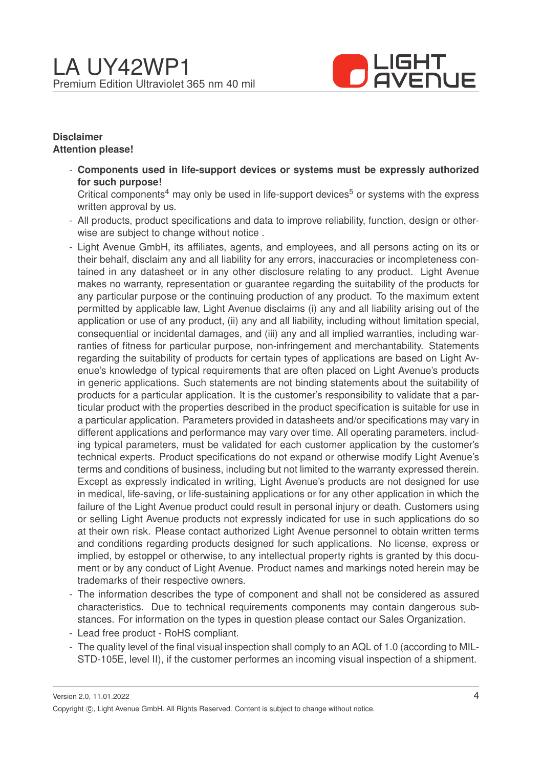

### **Disclaimer Attention please!**

- **Components used in life-support devices or systems must be expressly authorized for such purpose!**

Critical components<sup>4</sup> may only be used in life-support devices<sup>5</sup> or systems with the express written approval by us.

- All products, product specifications and data to improve reliability, function, design or otherwise are subject to change without notice .
- Light Avenue GmbH, its affiliates, agents, and employees, and all persons acting on its or their behalf, disclaim any and all liability for any errors, inaccuracies or incompleteness contained in any datasheet or in any other disclosure relating to any product. Light Avenue makes no warranty, representation or guarantee regarding the suitability of the products for any particular purpose or the continuing production of any product. To the maximum extent permitted by applicable law, Light Avenue disclaims (i) any and all liability arising out of the application or use of any product, (ii) any and all liability, including without limitation special, consequential or incidental damages, and (iii) any and all implied warranties, including warranties of fitness for particular purpose, non-infringement and merchantability. Statements regarding the suitability of products for certain types of applications are based on Light Avenue's knowledge of typical requirements that are often placed on Light Avenue's products in generic applications. Such statements are not binding statements about the suitability of products for a particular application. It is the customer's responsibility to validate that a particular product with the properties described in the product specification is suitable for use in a particular application. Parameters provided in datasheets and/or specifications may vary in different applications and performance may vary over time. All operating parameters, including typical parameters, must be validated for each customer application by the customer's technical experts. Product specifications do not expand or otherwise modify Light Avenue's terms and conditions of business, including but not limited to the warranty expressed therein. Except as expressly indicated in writing, Light Avenue's products are not designed for use in medical, life-saving, or life-sustaining applications or for any other application in which the failure of the Light Avenue product could result in personal injury or death. Customers using or selling Light Avenue products not expressly indicated for use in such applications do so at their own risk. Please contact authorized Light Avenue personnel to obtain written terms and conditions regarding products designed for such applications. No license, express or implied, by estoppel or otherwise, to any intellectual property rights is granted by this document or by any conduct of Light Avenue. Product names and markings noted herein may be trademarks of their respective owners.
- The information describes the type of component and shall not be considered as assured characteristics. Due to technical requirements components may contain dangerous substances. For information on the types in question please contact our Sales Organization.
- Lead free product RoHS compliant.
- The quality level of the final visual inspection shall comply to an AQL of 1.0 (according to MIL-STD-105E, level II), if the customer performes an incoming visual inspection of a shipment.